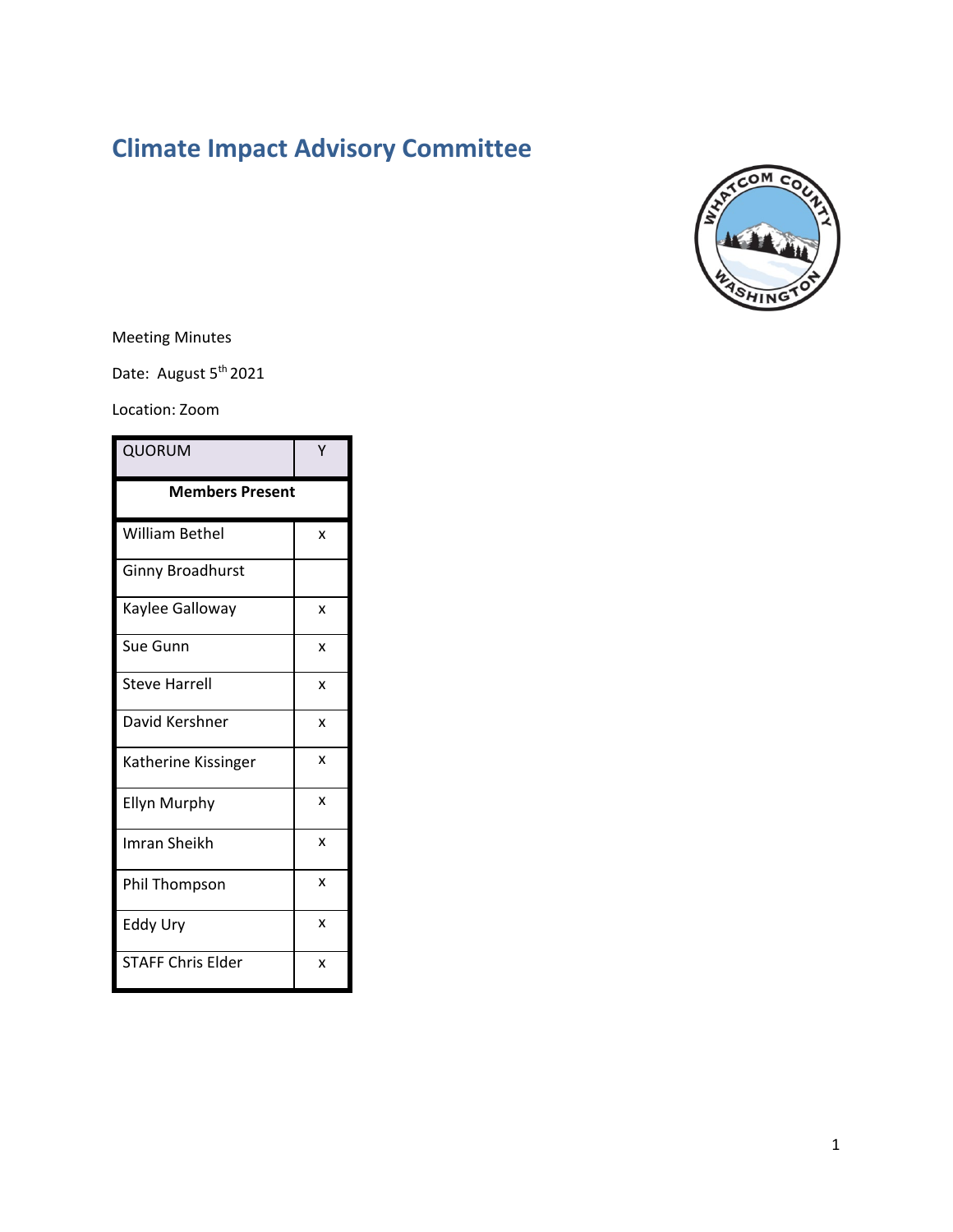# **Climate Impact Advisory Committee**



Meeting Minutes

Date: August 5<sup>th</sup> 2021

Location: Zoom

| QUORUM                   | Υ |
|--------------------------|---|
| <b>Members Present</b>   |   |
| William Bethel           | x |
| <b>Ginny Broadhurst</b>  |   |
| Kaylee Galloway          | x |
| Sue Gunn                 | X |
| <b>Steve Harrell</b>     | x |
| David Kershner           | X |
| Katherine Kissinger      | X |
| <b>Ellyn Murphy</b>      | x |
| Imran Sheikh             | X |
| Phil Thompson            | X |
| Eddy Ury                 | X |
| <b>STAFF Chris Elder</b> | X |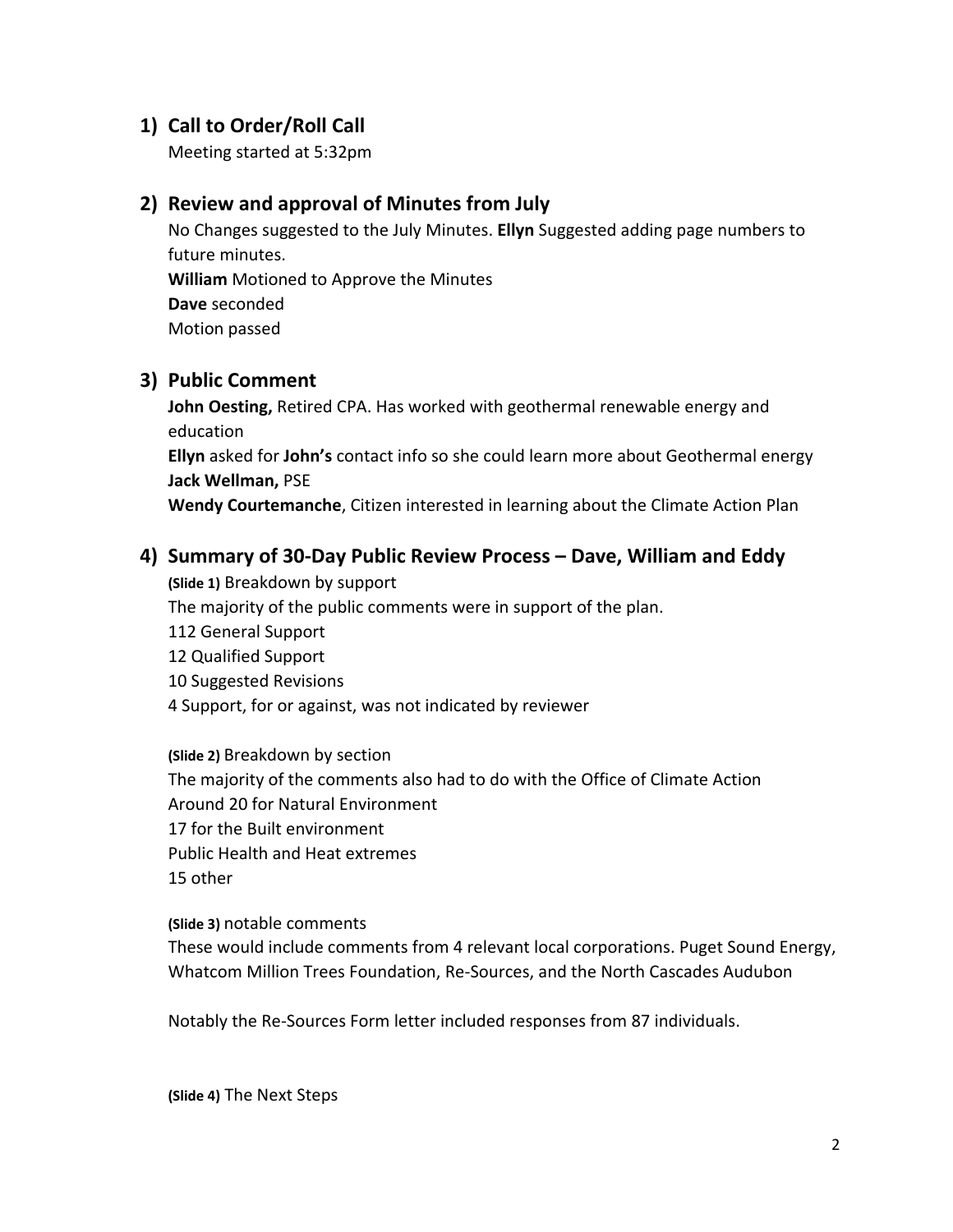### **1) Call to Order/Roll Call**

Meeting started at 5:32pm

#### **2) Review and approval of Minutes from July**

No Changes suggested to the July Minutes. **Ellyn** Suggested adding page numbers to future minutes. **William** Motioned to Approve the Minutes **Dave** seconded Motion passed

### **3) Public Comment**

**John Oesting,** Retired CPA. Has worked with geothermal renewable energy and education **Ellyn** asked for **John's** contact info so she could learn more about Geothermal energy **Jack Wellman,** PSE **Wendy Courtemanche**, Citizen interested in learning about the Climate Action Plan

**4) Summary of 30-Day Public Review Process – Dave, William and Eddy (Slide 1)** Breakdown by support The majority of the public comments were in support of the plan. 112 General Support 12 Qualified Support 10 Suggested Revisions 4 Support, for or against, was not indicated by reviewer

**(Slide 2)** Breakdown by section The majority of the comments also had to do with the Office of Climate Action Around 20 for Natural Environment 17 for the Built environment Public Health and Heat extremes 15 other

#### **(Slide 3)** notable comments

These would include comments from 4 relevant local corporations. Puget Sound Energy, Whatcom Million Trees Foundation, Re-Sources, and the North Cascades Audubon

Notably the Re-Sources Form letter included responses from 87 individuals.

**(Slide 4)** The Next Steps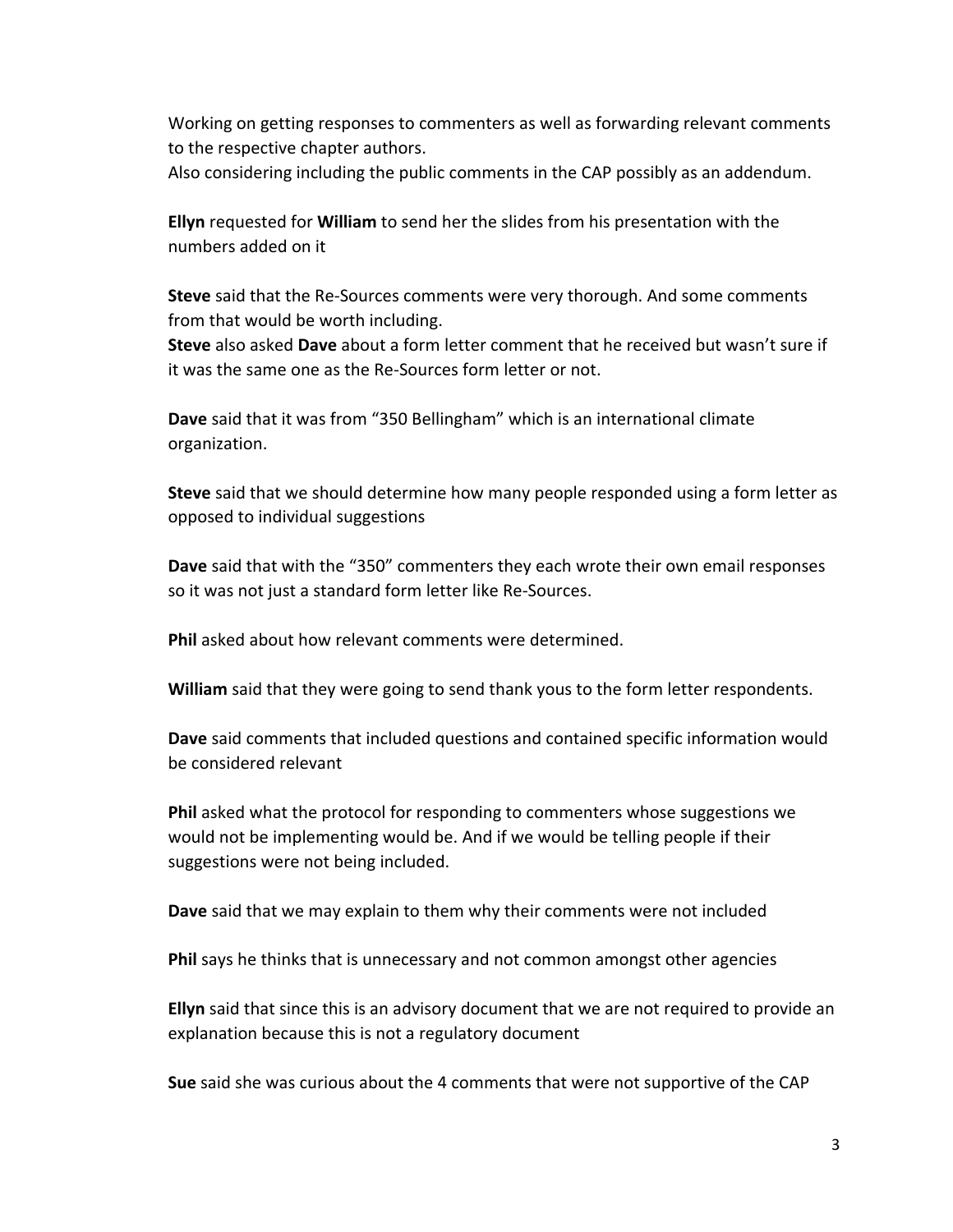Working on getting responses to commenters as well as forwarding relevant comments to the respective chapter authors. Also considering including the public comments in the CAP possibly as an addendum.

**Ellyn** requested for **William** to send her the slides from his presentation with the numbers added on it

**Steve** said that the Re-Sources comments were very thorough. And some comments from that would be worth including.

**Steve** also asked **Dave** about a form letter comment that he received but wasn't sure if it was the same one as the Re-Sources form letter or not.

**Dave** said that it was from "350 Bellingham" which is an international climate organization.

**Steve** said that we should determine how many people responded using a form letter as opposed to individual suggestions

**Dave** said that with the "350" commenters they each wrote their own email responses so it was not just a standard form letter like Re-Sources.

**Phil** asked about how relevant comments were determined.

**William** said that they were going to send thank yous to the form letter respondents.

**Dave** said comments that included questions and contained specific information would be considered relevant

**Phil** asked what the protocol for responding to commenters whose suggestions we would not be implementing would be. And if we would be telling people if their suggestions were not being included.

**Dave** said that we may explain to them why their comments were not included

**Phil** says he thinks that is unnecessary and not common amongst other agencies

**Ellyn** said that since this is an advisory document that we are not required to provide an explanation because this is not a regulatory document

**Sue** said she was curious about the 4 comments that were not supportive of the CAP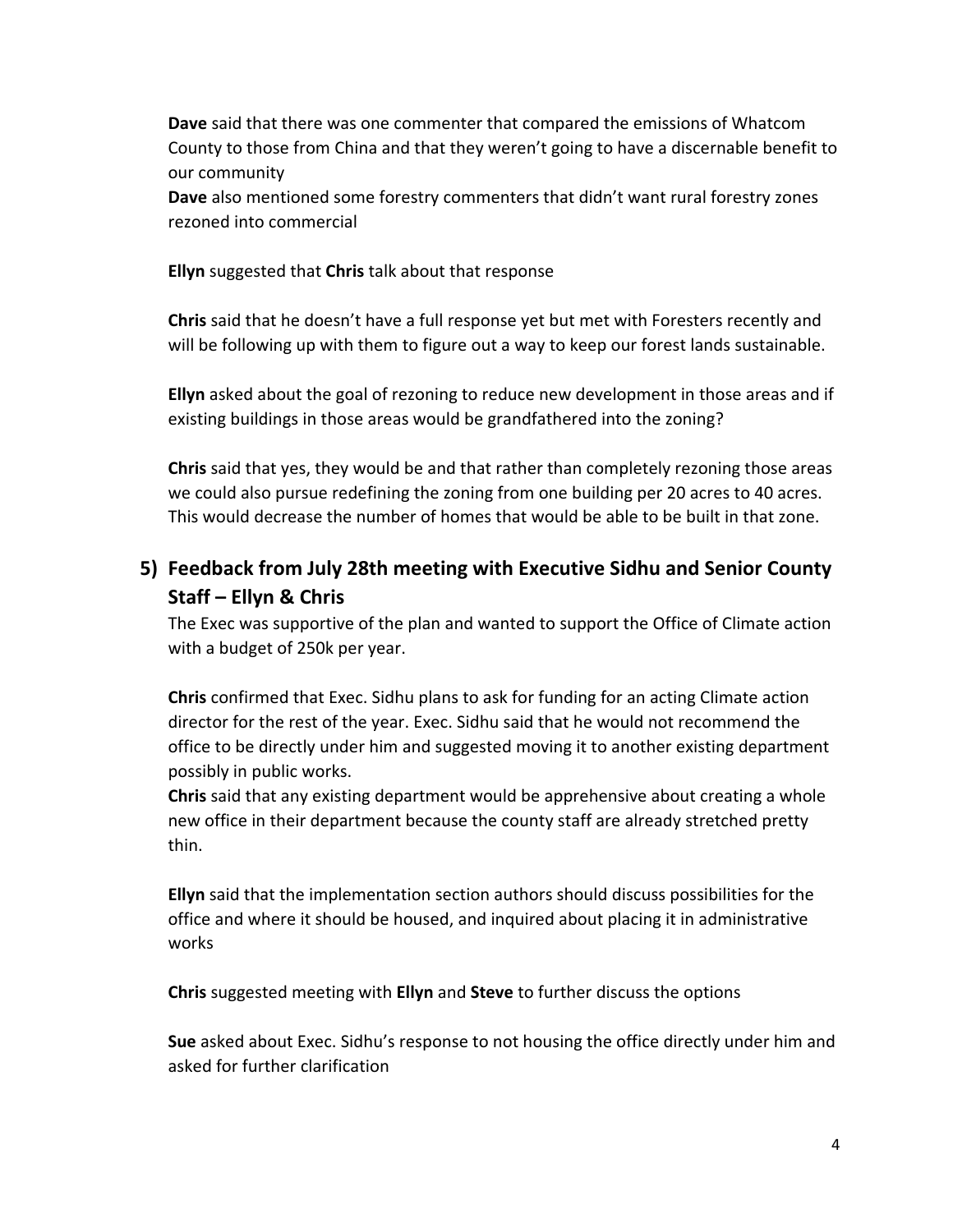**Dave** said that there was one commenter that compared the emissions of Whatcom County to those from China and that they weren't going to have a discernable benefit to our community

**Dave** also mentioned some forestry commenters that didn't want rural forestry zones rezoned into commercial

**Ellyn** suggested that **Chris** talk about that response

**Chris** said that he doesn't have a full response yet but met with Foresters recently and will be following up with them to figure out a way to keep our forest lands sustainable.

**Ellyn** asked about the goal of rezoning to reduce new development in those areas and if existing buildings in those areas would be grandfathered into the zoning?

**Chris** said that yes, they would be and that rather than completely rezoning those areas we could also pursue redefining the zoning from one building per 20 acres to 40 acres. This would decrease the number of homes that would be able to be built in that zone.

# **5) Feedback from July 28th meeting with Executive Sidhu and Senior County Staff – Ellyn & Chris**

The Exec was supportive of the plan and wanted to support the Office of Climate action with a budget of 250k per year.

**Chris** confirmed that Exec. Sidhu plans to ask for funding for an acting Climate action director for the rest of the year. Exec. Sidhu said that he would not recommend the office to be directly under him and suggested moving it to another existing department possibly in public works.

**Chris** said that any existing department would be apprehensive about creating a whole new office in their department because the county staff are already stretched pretty thin.

**Ellyn** said that the implementation section authors should discuss possibilities for the office and where it should be housed, and inquired about placing it in administrative works

**Chris** suggested meeting with **Ellyn** and **Steve** to further discuss the options

**Sue** asked about Exec. Sidhu's response to not housing the office directly under him and asked for further clarification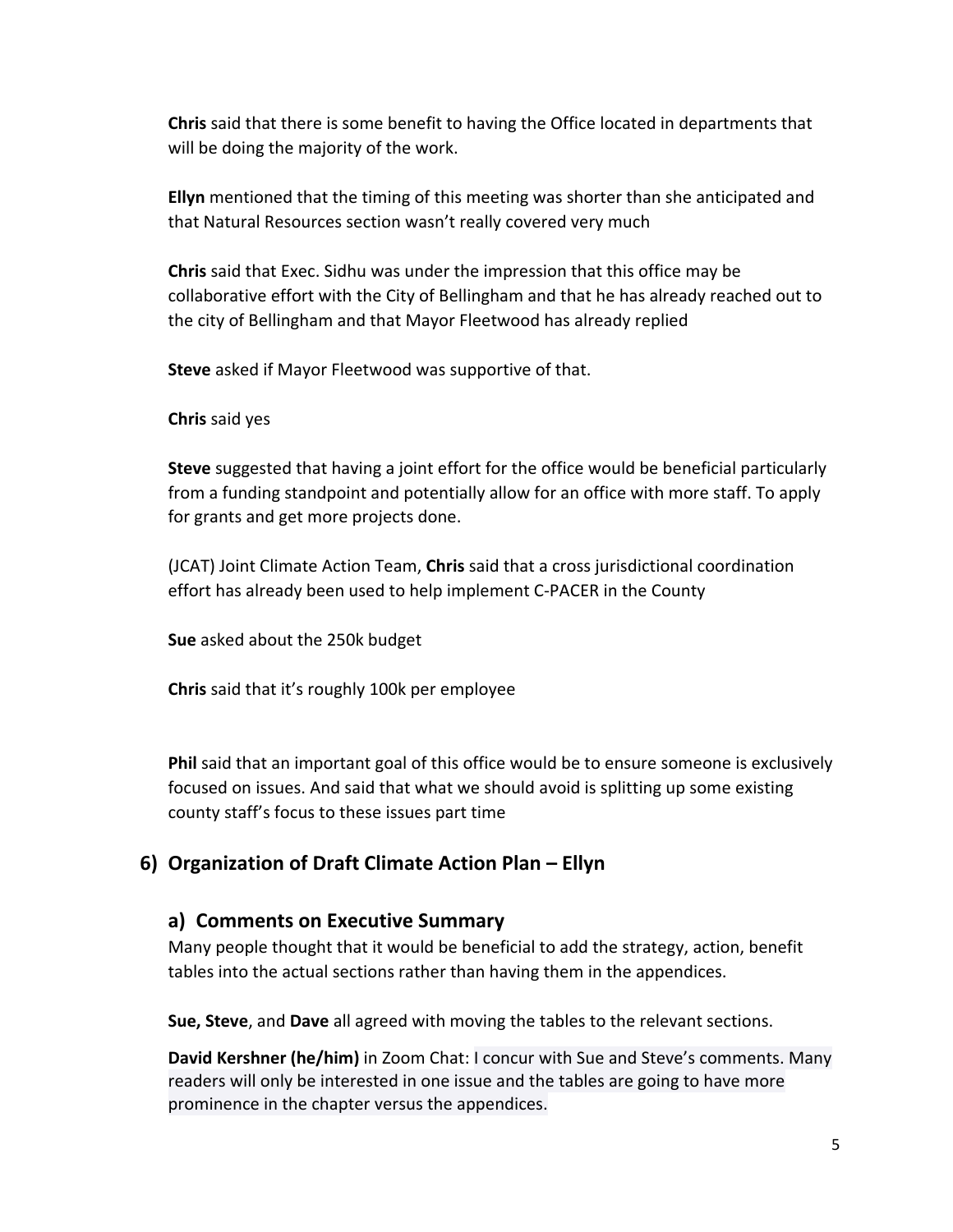**Chris** said that there is some benefit to having the Office located in departments that will be doing the majority of the work.

**Ellyn** mentioned that the timing of this meeting was shorter than she anticipated and that Natural Resources section wasn't really covered very much

**Chris** said that Exec. Sidhu was under the impression that this office may be collaborative effort with the City of Bellingham and that he has already reached out to the city of Bellingham and that Mayor Fleetwood has already replied

**Steve** asked if Mayor Fleetwood was supportive of that.

**Chris** said yes

**Steve** suggested that having a joint effort for the office would be beneficial particularly from a funding standpoint and potentially allow for an office with more staff. To apply for grants and get more projects done.

(JCAT) Joint Climate Action Team, **Chris** said that a cross jurisdictional coordination effort has already been used to help implement C-PACER in the County

**Sue** asked about the 250k budget

**Chris** said that it's roughly 100k per employee

**Phil** said that an important goal of this office would be to ensure someone is exclusively focused on issues. And said that what we should avoid is splitting up some existing county staff's focus to these issues part time

# **6) Organization of Draft Climate Action Plan – Ellyn**

#### **a) Comments on Executive Summary**

Many people thought that it would be beneficial to add the strategy, action, benefit tables into the actual sections rather than having them in the appendices.

**Sue, Steve**, and **Dave** all agreed with moving the tables to the relevant sections.

**David Kershner (he/him)** in Zoom Chat: I concur with Sue and Steve's comments. Many readers will only be interested in one issue and the tables are going to have more prominence in the chapter versus the appendices.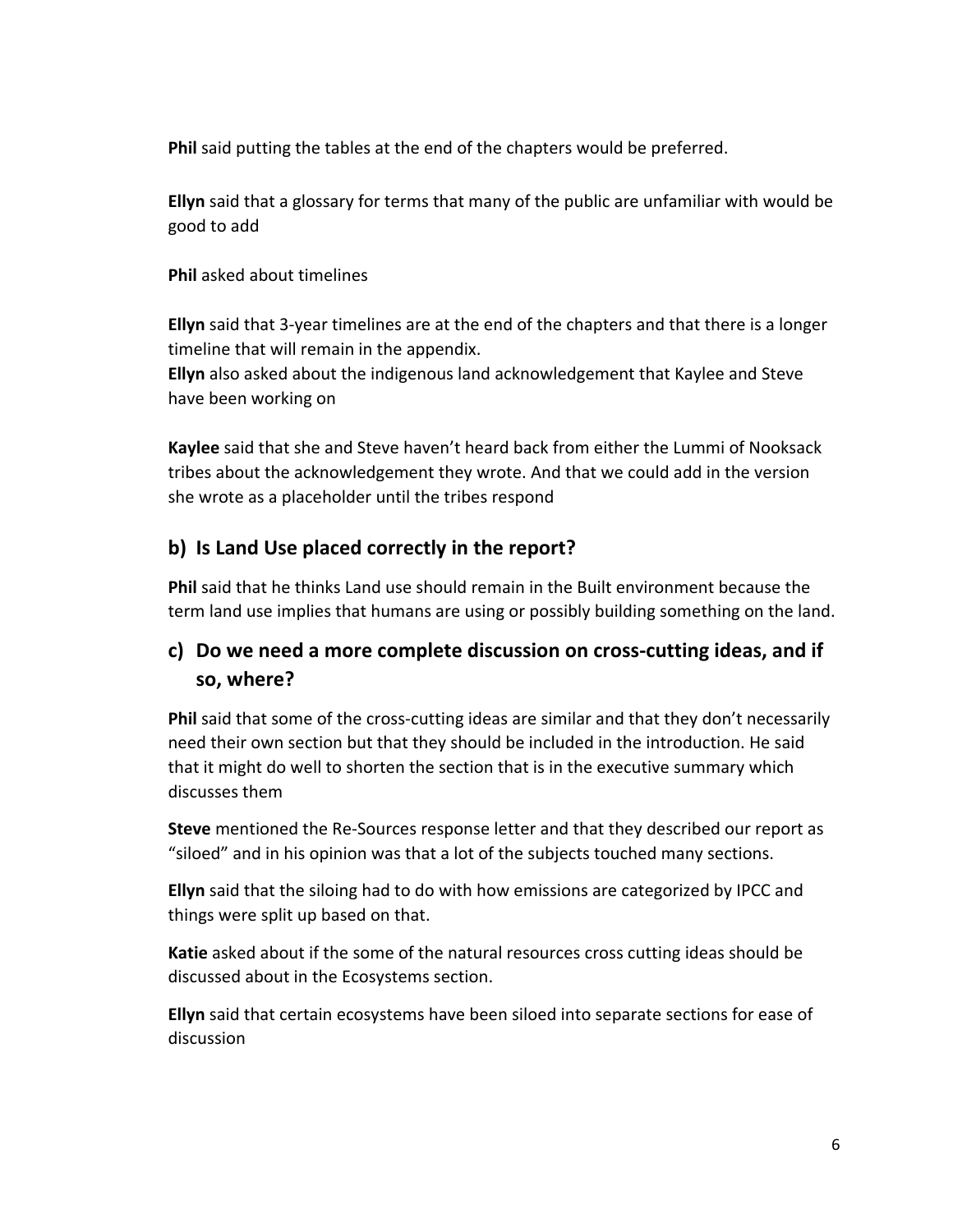**Phil** said putting the tables at the end of the chapters would be preferred.

**Ellyn** said that a glossary for terms that many of the public are unfamiliar with would be good to add

**Phil** asked about timelines

**Ellyn** said that 3-year timelines are at the end of the chapters and that there is a longer timeline that will remain in the appendix.

**Ellyn** also asked about the indigenous land acknowledgement that Kaylee and Steve have been working on

**Kaylee** said that she and Steve haven't heard back from either the Lummi of Nooksack tribes about the acknowledgement they wrote. And that we could add in the version she wrote as a placeholder until the tribes respond

# **b) Is Land Use placed correctly in the report?**

**Phil** said that he thinks Land use should remain in the Built environment because the term land use implies that humans are using or possibly building something on the land.

# **c) Do we need a more complete discussion on cross-cutting ideas, and if so, where?**

Phil said that some of the cross-cutting ideas are similar and that they don't necessarily need their own section but that they should be included in the introduction. He said that it might do well to shorten the section that is in the executive summary which discusses them

**Steve** mentioned the Re-Sources response letter and that they described our report as "siloed" and in his opinion was that a lot of the subjects touched many sections.

**Ellyn** said that the siloing had to do with how emissions are categorized by IPCC and things were split up based on that.

**Katie** asked about if the some of the natural resources cross cutting ideas should be discussed about in the Ecosystems section.

**Ellyn** said that certain ecosystems have been siloed into separate sections for ease of discussion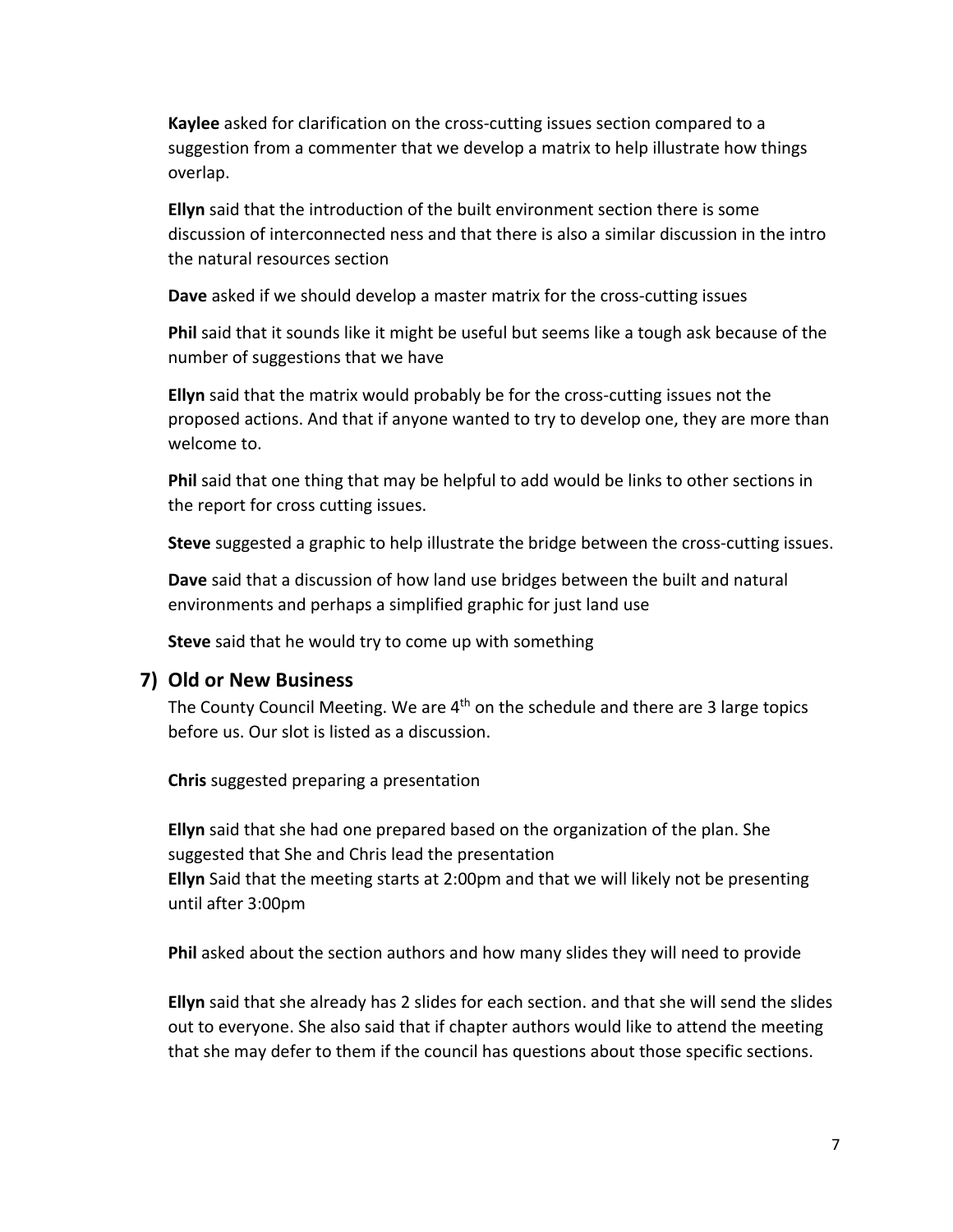**Kaylee** asked for clarification on the cross-cutting issues section compared to a suggestion from a commenter that we develop a matrix to help illustrate how things overlap.

**Ellyn** said that the introduction of the built environment section there is some discussion of interconnected ness and that there is also a similar discussion in the intro the natural resources section

**Dave** asked if we should develop a master matrix for the cross-cutting issues

**Phil** said that it sounds like it might be useful but seems like a tough ask because of the number of suggestions that we have

**Ellyn** said that the matrix would probably be for the cross-cutting issues not the proposed actions. And that if anyone wanted to try to develop one, they are more than welcome to.

**Phil** said that one thing that may be helpful to add would be links to other sections in the report for cross cutting issues.

**Steve** suggested a graphic to help illustrate the bridge between the cross-cutting issues.

**Dave** said that a discussion of how land use bridges between the built and natural environments and perhaps a simplified graphic for just land use

**Steve** said that he would try to come up with something

#### **7) Old or New Business**

The County Council Meeting. We are 4<sup>th</sup> on the schedule and there are 3 large topics before us. Our slot is listed as a discussion.

**Chris** suggested preparing a presentation

**Ellyn** said that she had one prepared based on the organization of the plan. She suggested that She and Chris lead the presentation **Ellyn** Said that the meeting starts at 2:00pm and that we will likely not be presenting until after 3:00pm

**Phil** asked about the section authors and how many slides they will need to provide

**Ellyn** said that she already has 2 slides for each section. and that she will send the slides out to everyone. She also said that if chapter authors would like to attend the meeting that she may defer to them if the council has questions about those specific sections.